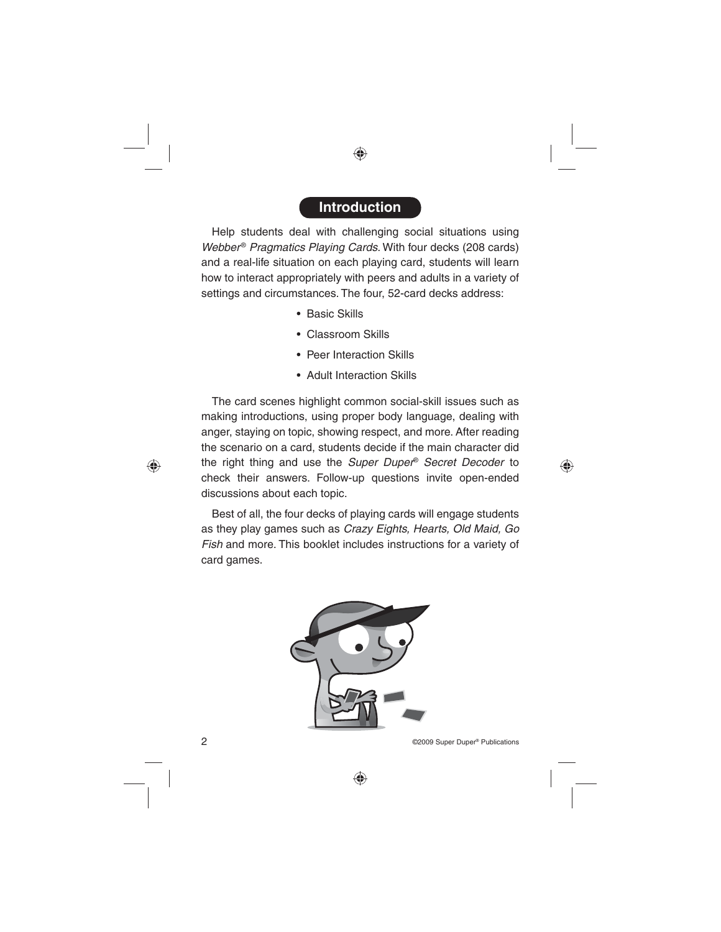### **Introduction**

Help students deal with challenging social situations using Webber<sup>®</sup> Pragmatics Playing Cards. With four decks (208 cards) and a real-life situation on each playing card, students will learn how to interact appropriately with peers and adults in a variety of settings and circumstances. The four, 52-card decks address:

- Basic Skills
- Classroom Skills
- Peer Interaction Skills
- Adult Interaction Skills

The card scenes highlight common social-skill issues such as making introductions, using proper body language, dealing with anger, staying on topic, showing respect, and more. After reading the scenario on a card, students decide if the main character did the right thing and use the Super Duper® Secret Decoder to check their answers. Follow-up questions invite open-ended discussions about each topic.

Best of all, the four decks of playing cards will engage students as they play games such as Crazy Eights, Hearts, Old Maid, Go Fish and more. This booklet includes instructions for a variety of card games.

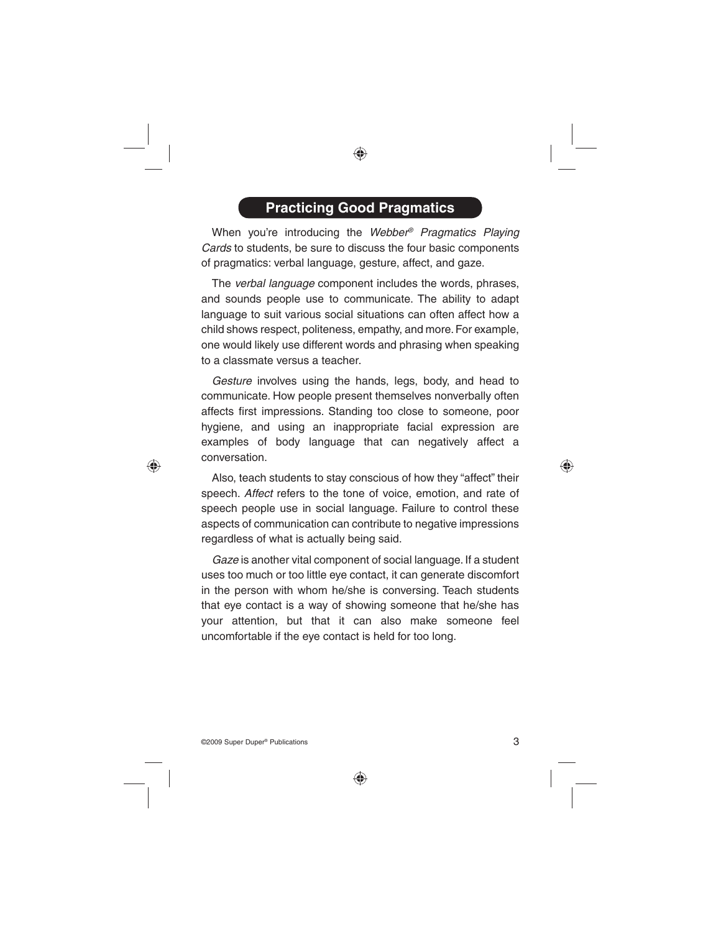# **Practicing Good Pragmatics**

When you're introducing the Webber<sup>®</sup> Pragmatics Playing Cards to students, be sure to discuss the four basic components of pragmatics: verbal language, gesture, affect, and gaze.

The verbal language component includes the words, phrases, and sounds people use to communicate. The ability to adapt language to suit various social situations can often affect how a child shows respect, politeness, empathy, and more. For example, one would likely use different words and phrasing when speaking to a classmate versus a teacher.

Gesture involves using the hands, legs, body, and head to communicate. How people present themselves nonverbally often affects first impressions. Standing too close to someone, poor hygiene, and using an inappropriate facial expression are examples of body language that can negatively affect a conversation.

Also, teach students to stay conscious of how they "affect" their speech. Affect refers to the tone of voice, emotion, and rate of speech people use in social language. Failure to control these aspects of communication can contribute to negative impressions regardless of what is actually being said.

Gaze is another vital component of social language. If a student uses too much or too little eye contact, it can generate discomfort in the person with whom he/she is conversing. Teach students that eye contact is a way of showing someone that he/she has your attention, but that it can also make someone feel uncomfortable if the eye contact is held for too long.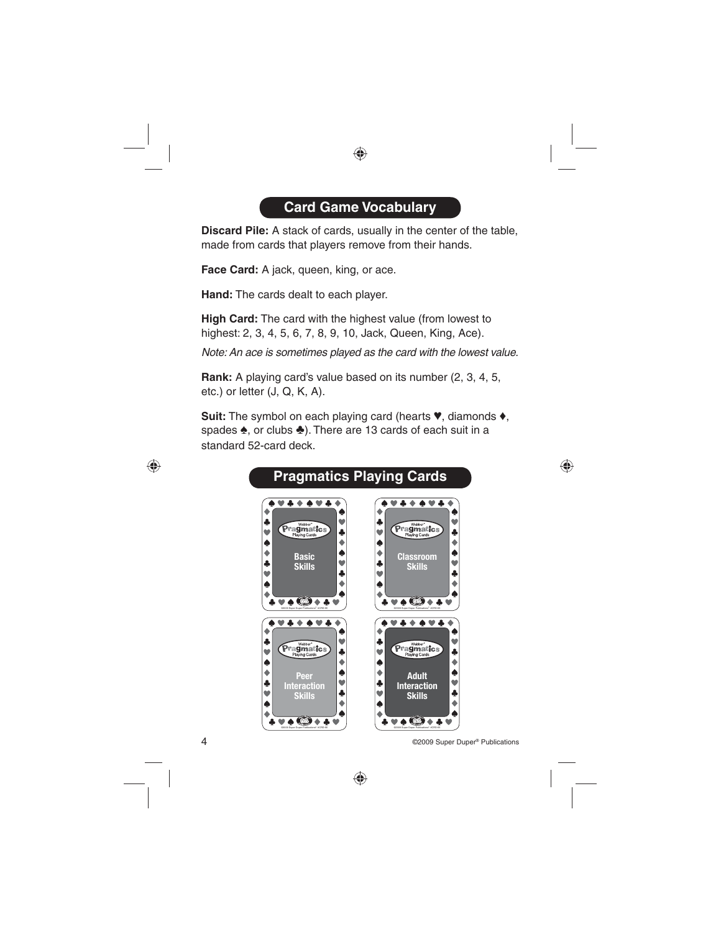# **Card Game Vocabulary**

**Discard Pile:** A stack of cards, usually in the center of the table, made from cards that players remove from their hands.

**Face Card:** A jack, queen, king, or ace.

**Hand:** The cards dealt to each player.

**High Card:** The card with the highest value (from lowest to highest: 2, 3, 4, 5, 6, 7, 8, 9, 10, Jack, Queen, King, Ace).

Note: An ace is sometimes played as the card with the lowest value.

**Rank:** A playing card's value based on its number (2, 3, 4, 5, etc.) or letter (J, Q, K, A).

**Suit:** The symbol on each playing card (hearts ♥, diamonds ♦, spades ♠, or clubs ♣). There are 13 cards of each suit in a standard 52-card deck.

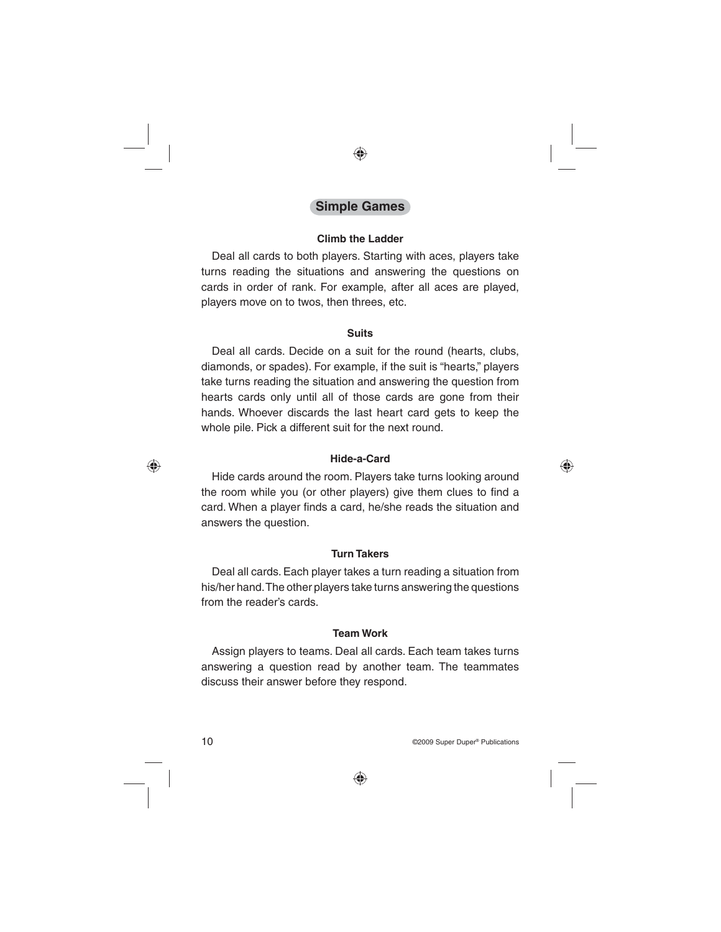### **Simple Games**

#### **Climb the Ladder**

Deal all cards to both players. Starting with aces, players take turns reading the situations and answering the questions on cards in order of rank. For example, after all aces are played, players move on to twos, then threes, etc.

#### **Suits**

Deal all cards. Decide on a suit for the round (hearts, clubs, diamonds, or spades). For example, if the suit is "hearts," players take turns reading the situation and answering the question from hearts cards only until all of those cards are gone from their hands. Whoever discards the last heart card gets to keep the whole pile. Pick a different suit for the next round.

#### **Hide-a-Card**

Hide cards around the room. Players take turns looking around the room while you (or other players) give them clues to find a card. When a player finds a card, he/she reads the situation and answers the question.

#### **Turn Takers**

Deal all cards. Each player takes a turn reading a situation from his/her hand. The other players take turns answering the questions from the reader's cards.

#### **Team Work**

Assign players to teams. Deal all cards. Each team takes turns answering a question read by another team. The teammates discuss their answer before they respond.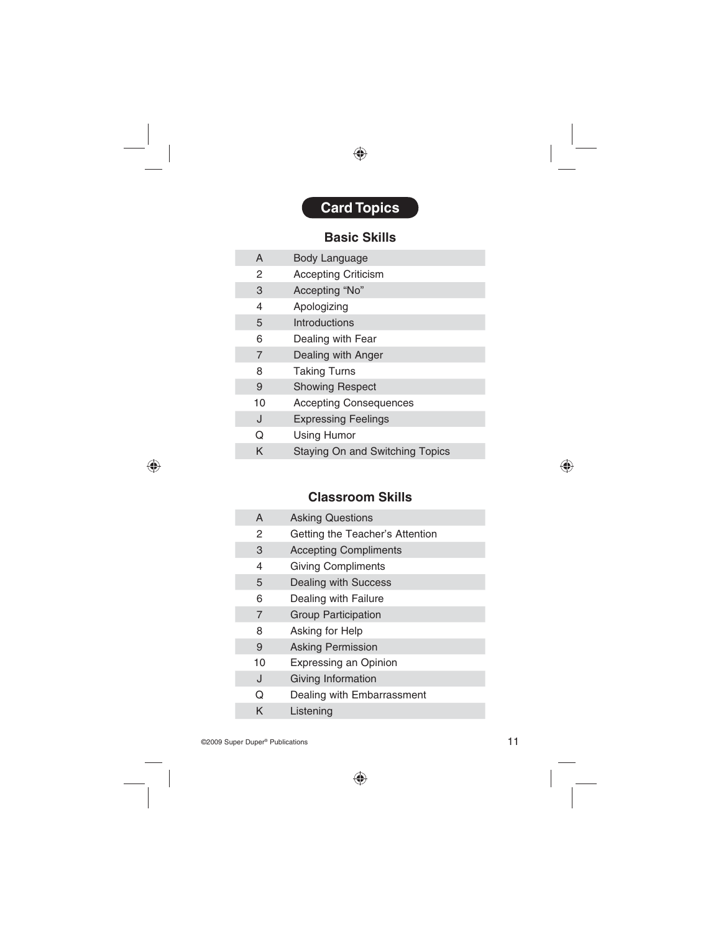# **Card Topics**

### **Basic Skills**

| A  | Body Language                   |
|----|---------------------------------|
| 2  | <b>Accepting Criticism</b>      |
| 3  | Accepting "No"                  |
| 4  | Apologizing                     |
| 5  | Introductions                   |
| 6  | Dealing with Fear               |
| 7  | Dealing with Anger              |
| 8  | <b>Taking Turns</b>             |
| 9  | <b>Showing Respect</b>          |
| 10 | <b>Accepting Consequences</b>   |
| J  | <b>Expressing Feelings</b>      |
| Q  | <b>Using Humor</b>              |
| κ  | Staying On and Switching Topics |

### **Classroom Skills**

| A  | <b>Asking Questions</b>         |
|----|---------------------------------|
| 2  | Getting the Teacher's Attention |
| 3  | <b>Accepting Compliments</b>    |
| 4  | <b>Giving Compliments</b>       |
| 5  | Dealing with Success            |
| 6  | Dealing with Failure            |
| 7  | <b>Group Participation</b>      |
| 8  | Asking for Help                 |
| 9  | <b>Asking Permission</b>        |
| 10 | <b>Expressing an Opinion</b>    |
| J  | Giving Information              |
| ი  | Dealing with Embarrassment      |
| κ  | Listening                       |